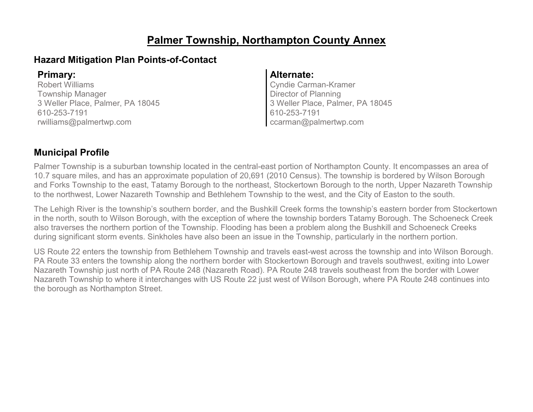### **Palmer Township, Northampton County Annex**

#### **Hazard Mitigation Plan Points-of-Contact**

Robert Williams Township Manager 3 Weller Place, Palmer, PA 18045 610-253-7191 rwilliams@palmertwp.com

#### **Primary: Alternate:**

Cyndie Carman-Kramer Director of Planning 3 Weller Place, Palmer, PA 18045 610-253-7191 ccarman@palmertwp.com

### **Municipal Profile**

Palmer Township is a suburban township located in the central-east portion of Northampton County. It encompasses an area of 10.7 square miles, and has an approximate population of 20,691 (2010 Census). The township is bordered by Wilson Borough and Forks Township to the east, Tatamy Borough to the northeast, Stockertown Borough to the north, Upper Nazareth Township to the northwest, Lower Nazareth Township and Bethlehem Township to the west, and the City of Easton to the south.

The Lehigh River is the township's southern border, and the Bushkill Creek forms the township's eastern border from Stockertown in the north, south to Wilson Borough, with the exception of where the township borders Tatamy Borough. The Schoeneck Creek also traverses the northern portion of the Township. Flooding has been a problem along the Bushkill and Schoeneck Creeks during significant storm events. Sinkholes have also been an issue in the Township, particularly in the northern portion.

US Route 22 enters the township from Bethlehem Township and travels east-west across the township and into Wilson Borough. PA Route 33 enters the township along the northern border with Stockertown Borough and travels southwest, exiting into Lower Nazareth Township just north of PA Route 248 (Nazareth Road). PA Route 248 travels southeast from the border with Lower Nazareth Township to where it interchanges with US Route 22 just west of Wilson Borough, where PA Route 248 continues into the borough as Northampton Street.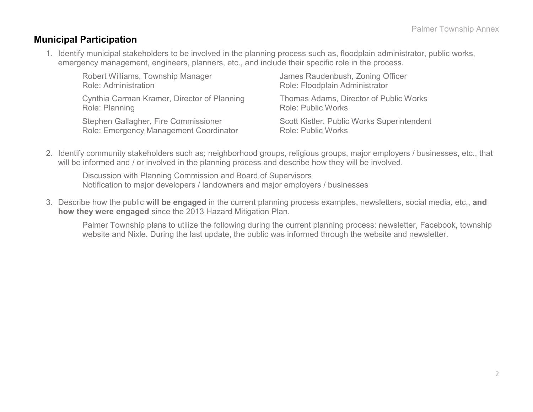#### **Municipal Participation**

1. Identify municipal stakeholders to be involved in the planning process such as, floodplain administrator, public works, emergency management, engineers, planners, etc., and include their specific role in the process.

| Robert Williams, Township Manager           | James Raudenbush, Zoning Officer           |
|---------------------------------------------|--------------------------------------------|
| <b>Role: Administration</b>                 | Role: Floodplain Administrator             |
| Cynthia Carman Kramer, Director of Planning | Thomas Adams, Director of Public Works     |
| Role: Planning                              | <b>Role: Public Works</b>                  |
| Stephen Gallagher, Fire Commissioner        | Scott Kistler, Public Works Superintendent |
| Role: Emergency Management Coordinator      | <b>Role: Public Works</b>                  |

2. Identify community stakeholders such as; neighborhood groups, religious groups, major employers / businesses, etc., that will be informed and / or involved in the planning process and describe how they will be involved.

Discussion with Planning Commission and Board of Supervisors Notification to major developers / landowners and major employers / businesses

3. Describe how the public **will be engaged** in the current planning process examples, newsletters, social media, etc., **and how they were engaged** since the 2013 Hazard Mitigation Plan.

Palmer Township plans to utilize the following during the current planning process: newsletter, Facebook, township website and Nixle. During the last update, the public was informed through the website and newsletter.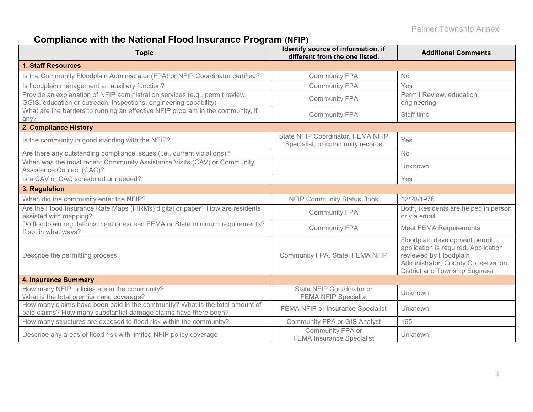# **Compliance with the National Flood Insurance Program (NFIP)**

| <b>Topic</b>                                                                                                                                      | Identify source of information, if<br>different from the one listed.  | <b>Additional Comments</b>                                                                                                                                               |
|---------------------------------------------------------------------------------------------------------------------------------------------------|-----------------------------------------------------------------------|--------------------------------------------------------------------------------------------------------------------------------------------------------------------------|
| <b>1. Staff Resources</b>                                                                                                                         |                                                                       |                                                                                                                                                                          |
| Is the Community Floodplain Administrator (FPA) or NFIP Coordinator certified?                                                                    | <b>Community FPA</b>                                                  | <b>No</b>                                                                                                                                                                |
| Is floodplain management an auxiliary function?                                                                                                   | <b>Community FPA</b>                                                  | Yes                                                                                                                                                                      |
| Provide an explanation of NFIP administration services (e.g., permit review,<br>GGIS, education or outreach, inspections, engineering capability) | <b>Community FPA</b>                                                  | Permit Review, education,<br>engineering                                                                                                                                 |
| What are the barriers to running an effective NFIP program in the community, if<br>any?                                                           | <b>Community FPA</b>                                                  | Staff time                                                                                                                                                               |
| 2. Compliance History                                                                                                                             |                                                                       |                                                                                                                                                                          |
| Is the community in good standing with the NFIP?                                                                                                  | State NFIP Coordinator, FEMA NFIP<br>Specialist, or community records | Yes                                                                                                                                                                      |
| Are there any outstanding compliance issues (i.e., current violations)?                                                                           |                                                                       | <b>No</b>                                                                                                                                                                |
| When was the most recent Community Assistance Visits (CAV) or Community<br>Assistance Contact (CAC)?                                              |                                                                       | Unknown                                                                                                                                                                  |
| Is a CAV or CAC scheduled or needed?                                                                                                              |                                                                       | Yes                                                                                                                                                                      |
| 3. Regulation                                                                                                                                     |                                                                       |                                                                                                                                                                          |
| When did the community enter the NFIP?                                                                                                            | <b>NFIP Community Status Book</b>                                     | 12/28/1976                                                                                                                                                               |
| Are the Flood Insurance Rate Maps (FIRMs) digital or paper? How are residents<br>assisted with mapping?                                           | <b>Community FPA</b>                                                  | Both, Residents are helped in person<br>or via email                                                                                                                     |
| Do floodplain regulations meet or exceed FEMA or State minimum requirements?<br>If so, in what ways?                                              | <b>Community FPA</b>                                                  | <b>Meet FEMA Requirements</b>                                                                                                                                            |
| Describe the permitting process                                                                                                                   | Community FPA, State, FEMA NFIP                                       | Floodplain development permit<br>application is required. Application<br>reviewed by Floodplain<br>Administrator, County Conservation<br>District and Township Engineer. |
| <b>4. Insurance Summary</b>                                                                                                                       |                                                                       |                                                                                                                                                                          |
| How many NFIP policies are in the community?<br>What is the total premium and coverage?                                                           | State NFIP Coordinator or<br><b>FEMA NFIP Specialist</b>              | Unknown                                                                                                                                                                  |
| How many claims have been paid in the community? What is the total amount of<br>paid claims? How many substantial damage claims have there been?  | FEMA NFIP or Insurance Specialist                                     | Unknown                                                                                                                                                                  |
| How many structures are exposed to flood risk within the community?                                                                               | <b>Community FPA or GIS Analyst</b>                                   | 165                                                                                                                                                                      |
| Describe any areas of flood risk with limited NFIP policy coverage                                                                                | Community FPA or<br><b>FEMA Insurance Specialist</b>                  | Unknown                                                                                                                                                                  |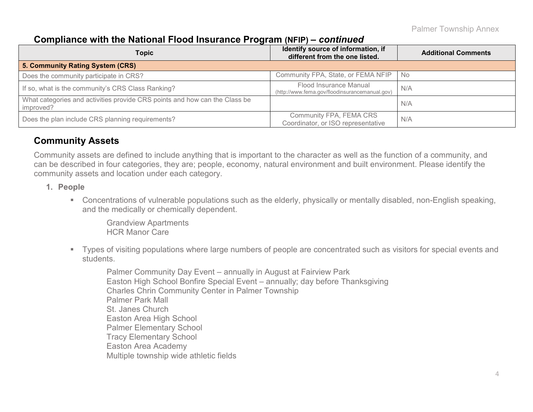#### **Compliance with the National Flood Insurance Program (NFIP) –** *continued*

| <b>Topic</b>                                                                            | Identify source of information, if<br>different from the one listed.     | <b>Additional Comments</b> |
|-----------------------------------------------------------------------------------------|--------------------------------------------------------------------------|----------------------------|
| 5. Community Rating System (CRS)                                                        |                                                                          |                            |
| Does the community participate in CRS?                                                  | Community FPA, State, or FEMA NFIP                                       | No.                        |
| If so, what is the community's CRS Class Ranking?                                       | Flood Insurance Manual<br>(http://www.fema.gov/floodinsurancemanual.gov) | N/A                        |
| What categories and activities provide CRS points and how can the Class be<br>improved? |                                                                          | N/A                        |
| Does the plan include CRS planning requirements?                                        | Community FPA, FEMA CRS<br>Coordinator, or ISO representative            | N/A                        |

#### **Community Assets**

Community assets are defined to include anything that is important to the character as well as the function of a community, and can be described in four categories, they are; people, economy, natural environment and built environment. Please identify the community assets and location under each category.

- **1. People**
	- Concentrations of vulnerable populations such as the elderly, physically or mentally disabled, non-English speaking, and the medically or chemically dependent.

Grandview Apartments HCR Manor Care

 Types of visiting populations where large numbers of people are concentrated such as visitors for special events and students.

Palmer Community Day Event – annually in August at Fairview Park Easton High School Bonfire Special Event – annually; day before Thanksgiving Charles Chrin Community Center in Palmer Township Palmer Park Mall St. Janes Church Easton Area High School Palmer Elementary School Tracy Elementary School Easton Area Academy Multiple township wide athletic fields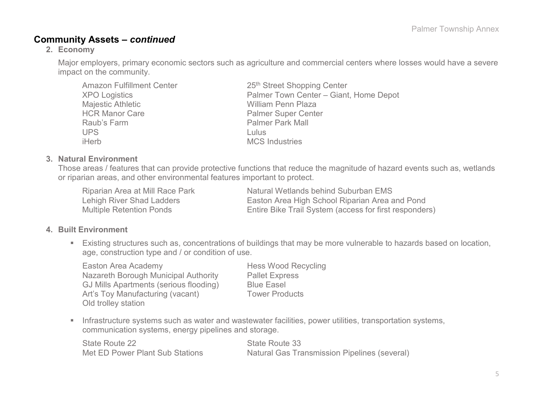#### **Community Assets –** *continued*

#### **2. Economy**

Major employers, primary economic sectors such as agriculture and commercial centers where losses would have a severe impact on the community.

| <b>Amazon Fulfillment Center</b> | 25th Street Shopping Center            |
|----------------------------------|----------------------------------------|
| <b>XPO Logistics</b>             | Palmer Town Center - Giant, Home Depot |
| Majestic Athletic                | <b>William Penn Plaza</b>              |
| <b>HCR Manor Care</b>            | <b>Palmer Super Center</b>             |
| Raub's Farm                      | <b>Palmer Park Mall</b>                |
| <b>UPS</b>                       | Lulus                                  |
| iHerb                            | <b>MCS</b> Industries                  |

#### **3. Natural Environment**

Those areas / features that can provide protective functions that reduce the magnitude of hazard events such as, wetlands or riparian areas, and other environmental features important to protect.

Riparian Area at Mill Race Park Natural Wetlands behind Suburban EMS Lehigh River Shad Ladders Easton Area High School Riparian Area and Pond Multiple Retention Ponds Entire Bike Trail System (access for first responders)

#### **4. Built Environment**

 Existing structures such as, concentrations of buildings that may be more vulnerable to hazards based on location, age, construction type and / or condition of use.

Easton Area Academy **Hess Wood Recycling** Nazareth Borough Municipal Authority Pallet Express GJ Mills Apartments (serious flooding) Blue Easel Art's Toy Manufacturing (vacant) Tower Products Old trolley station

**Infrastructure systems such as water and wastewater facilities, power utilities, transportation systems,** communication systems, energy pipelines and storage.

| State Route 22                  | State Route 33                                      |
|---------------------------------|-----------------------------------------------------|
| Met ED Power Plant Sub Stations | <b>Natural Gas Transmission Pipelines (several)</b> |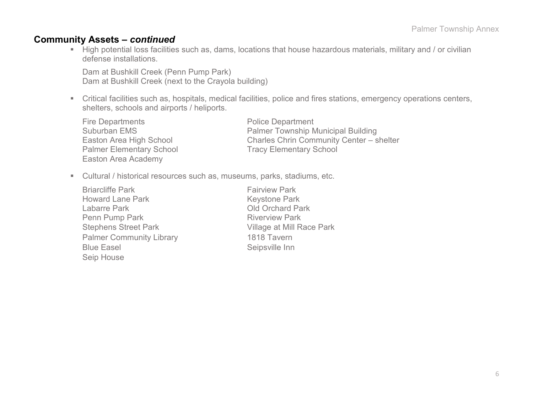#### **Community Assets –** *continued*

 High potential loss facilities such as, dams, locations that house hazardous materials, military and / or civilian defense installations.

Dam at Bushkill Creek (Penn Pump Park) Dam at Bushkill Creek (next to the Crayola building)

- Critical facilities such as, hospitals, medical facilities, police and fires stations, emergency operations centers, shelters, schools and airports / heliports.
	- Fire Departments **Police Department** Palmer Elementary School Tracy Elementary School Easton Area Academy

Suburban EMS **Palmer Township Municipal Building** Easton Area High School Charles Chrin Community Center – shelter

Cultural / historical resources such as, museums, parks, stadiums, etc.

Briarcliffe Park **Fairview Park** Fairview Park Howard Lane Park Keystone Park<br>
Labarre Park Clabarre Park Clabarre Park Penn Pump Park Riverview Park Stephens Street Park Village at Mill Race Park Palmer Community Library 1818 Tavern Blue Easel Seipsville Inn Seip House

Old Orchard Park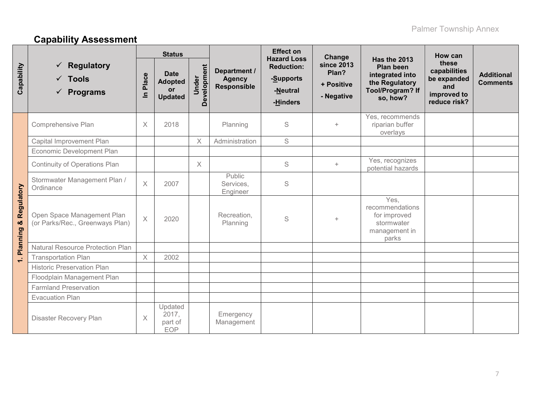# **Capability Assessment**

|                             |                                                                       | <b>Status</b>         |                                                              |                      |                                              | <b>Effect on</b><br><b>Hazard Loss</b>                 | Change                                                 | <b>Has the 2013</b>                                                                   | How can                                                                    |                                      |
|-----------------------------|-----------------------------------------------------------------------|-----------------------|--------------------------------------------------------------|----------------------|----------------------------------------------|--------------------------------------------------------|--------------------------------------------------------|---------------------------------------------------------------------------------------|----------------------------------------------------------------------------|--------------------------------------|
| Capability                  | <b>Regulatory</b><br>✓<br>$\checkmark$ Tools<br>$\checkmark$ Programs | Place<br>$\mathbf{a}$ | <b>Date</b><br><b>Adopted</b><br><b>or</b><br><b>Updated</b> | Development<br>Under | Department /<br><b>Agency</b><br>Responsible | <b>Reduction:</b><br>-Supports<br>-Neutral<br>-Hinders | <b>since 2013</b><br>Plan?<br>+ Positive<br>- Negative | Plan been<br>integrated into<br>the Regulatory<br><b>Tool/Program? If</b><br>so, how? | these<br>capabilities<br>be expanded<br>and<br>improved to<br>reduce risk? | <b>Additional</b><br><b>Comments</b> |
|                             | Comprehensive Plan                                                    | $\times$              | 2018                                                         |                      | Planning                                     | S                                                      | $+$                                                    | Yes, recommends<br>riparian buffer<br>overlays                                        |                                                                            |                                      |
|                             | Capital Improvement Plan                                              |                       |                                                              | $\times$             | Administration                               | S                                                      |                                                        |                                                                                       |                                                                            |                                      |
| Regulatory<br>×<br>Planning | Economic Development Plan                                             |                       |                                                              |                      |                                              |                                                        |                                                        |                                                                                       |                                                                            |                                      |
|                             | Continuity of Operations Plan                                         |                       |                                                              | $\times$             |                                              | S                                                      | $+$                                                    | Yes, recognizes<br>potential hazards                                                  |                                                                            |                                      |
|                             | Stormwater Management Plan /<br>Ordinance                             | $\times$              | 2007                                                         |                      | Public<br>Services,<br>Engineer              | S                                                      |                                                        |                                                                                       |                                                                            |                                      |
|                             | Open Space Management Plan<br>(or Parks/Rec., Greenways Plan)         | $\overline{X}$        | 2020                                                         |                      | Recreation,<br>Planning                      | S                                                      | $+$                                                    | Yes,<br>recommendations<br>for improved<br>stormwater<br>management in<br>parks       |                                                                            |                                      |
|                             | <b>Natural Resource Protection Plan</b>                               |                       |                                                              |                      |                                              |                                                        |                                                        |                                                                                       |                                                                            |                                      |
| $\div$                      | <b>Transportation Plan</b>                                            | $\times$              | 2002                                                         |                      |                                              |                                                        |                                                        |                                                                                       |                                                                            |                                      |
|                             | <b>Historic Preservation Plan</b>                                     |                       |                                                              |                      |                                              |                                                        |                                                        |                                                                                       |                                                                            |                                      |
|                             | Floodplain Management Plan                                            |                       |                                                              |                      |                                              |                                                        |                                                        |                                                                                       |                                                                            |                                      |
|                             | <b>Farmland Preservation</b>                                          |                       |                                                              |                      |                                              |                                                        |                                                        |                                                                                       |                                                                            |                                      |
|                             | <b>Evacuation Plan</b>                                                |                       |                                                              |                      |                                              |                                                        |                                                        |                                                                                       |                                                                            |                                      |
|                             | <b>Disaster Recovery Plan</b>                                         | $\times$              | Updated<br>2017,<br>part of<br><b>EOP</b>                    |                      | Emergency<br>Management                      |                                                        |                                                        |                                                                                       |                                                                            |                                      |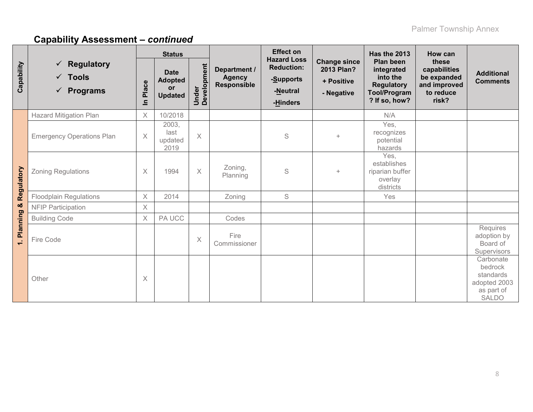|             | $\checkmark$ Regulatory<br>$\checkmark$ Tools<br>$\checkmark$ Programs |          | <b>Status</b>                                                |                      |                                              | <b>Effect on</b>                                                             |                                                               | Has the 2013                                                                                     | How can                                                                    |                                                                                 |
|-------------|------------------------------------------------------------------------|----------|--------------------------------------------------------------|----------------------|----------------------------------------------|------------------------------------------------------------------------------|---------------------------------------------------------------|--------------------------------------------------------------------------------------------------|----------------------------------------------------------------------------|---------------------------------------------------------------------------------|
| Capability  |                                                                        |          | <b>Date</b><br><b>Adopted</b><br><b>or</b><br><b>Updated</b> | Under<br>Development | Department /<br><b>Agency</b><br>Responsible | <b>Hazard Loss</b><br><b>Reduction:</b><br>-Supports<br>-Neutral<br>-Hinders | <b>Change since</b><br>2013 Plan?<br>+ Positive<br>- Negative | Plan been<br>integrated<br>into the<br><b>Regulatory</b><br><b>Tool/Program</b><br>? If so, how? | these<br>capabilities<br>be expanded<br>and improved<br>to reduce<br>risk? | <b>Additional</b><br><b>Comments</b>                                            |
|             | <b>Hazard Mitigation Plan</b>                                          | X        | 10/2018                                                      |                      |                                              |                                                                              |                                                               | N/A                                                                                              |                                                                            |                                                                                 |
| Regulatory  | <b>Emergency Operations Plan</b>                                       | $\times$ | 2003,<br>last<br>updated<br>2019                             | $\times$             |                                              | S                                                                            | $+$                                                           | Yes,<br>recognizes<br>potential<br>hazards                                                       |                                                                            |                                                                                 |
|             | <b>Zoning Regulations</b>                                              | X        | 1994                                                         | $\times$             | Zoning,<br>Planning                          | S                                                                            | $+$                                                           | Yes,<br>establishes<br>riparian buffer<br>overlay<br>districts                                   |                                                                            |                                                                                 |
|             | <b>Floodplain Regulations</b>                                          | $\times$ | 2014                                                         |                      | Zoning                                       | $\mathsf S$                                                                  |                                                               | Yes                                                                                              |                                                                            |                                                                                 |
| ×           | <b>NFIP Participation</b>                                              | X        |                                                              |                      |                                              |                                                                              |                                                               |                                                                                                  |                                                                            |                                                                                 |
|             | <b>Building Code</b>                                                   | $\times$ | PA UCC                                                       |                      | Codes                                        |                                                                              |                                                               |                                                                                                  |                                                                            |                                                                                 |
| 1. Planning | Fire Code                                                              |          |                                                              | X                    | Fire<br>Commissioner                         |                                                                              |                                                               |                                                                                                  |                                                                            | Requires<br>adoption by<br>Board of<br>Supervisors                              |
|             | Other                                                                  | X        |                                                              |                      |                                              |                                                                              |                                                               |                                                                                                  |                                                                            | Carbonate<br>bedrock<br>standards<br>adopted 2003<br>as part of<br><b>SALDO</b> |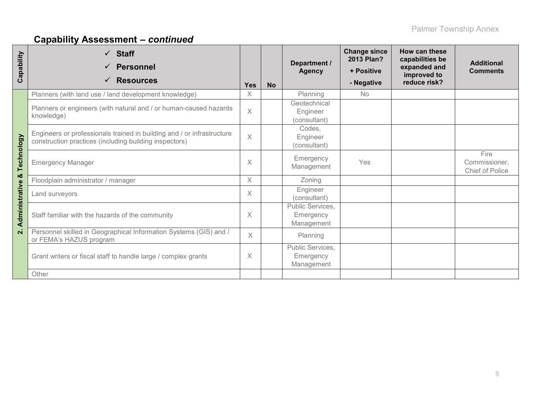| Capability              | $\checkmark$ Staff<br><b>Personnel</b><br>✓<br><b>Resources</b>                                                                  | Yes      | <b>No</b> | Department /<br><b>Agency</b>               | <b>Change since</b><br><b>2013 Plan?</b><br>+ Positive<br>- Negative | How can these<br>capabilities be<br>expanded and<br>improved to<br>reduce risk? | <b>Additional</b><br><b>Comments</b>     |
|-------------------------|----------------------------------------------------------------------------------------------------------------------------------|----------|-----------|---------------------------------------------|----------------------------------------------------------------------|---------------------------------------------------------------------------------|------------------------------------------|
|                         | Planners (with land use / land development knowledge)                                                                            | X.       |           | Planning                                    | <b>No</b>                                                            |                                                                                 |                                          |
|                         | Planners or engineers (with natural and / or human-caused hazards<br>knowledge)                                                  | $\times$ |           | Geotechnical<br>Engineer<br>(consultant)    |                                                                      |                                                                                 |                                          |
|                         | Engineers or professionals trained in building and / or infrastructure<br>construction practices (including building inspectors) | $\times$ |           | Codes,<br>Engineer<br>(consultant)          |                                                                      |                                                                                 |                                          |
| Technology              | <b>Emergency Manager</b>                                                                                                         |          |           | Emergency<br>Management                     | Yes                                                                  |                                                                                 | Fire<br>Commissioner,<br>Chief of Police |
| ×                       | Floodplain administrator / manager                                                                                               | $\times$ |           | Zoning                                      |                                                                      |                                                                                 |                                          |
|                         | Land surveyors                                                                                                                   | X        |           | Engineer<br>(consultant)                    |                                                                      |                                                                                 |                                          |
| Administrative          | Staff familiar with the hazards of the community                                                                                 |          |           | Public Services,<br>Emergency<br>Management |                                                                      |                                                                                 |                                          |
| $\overline{\mathbf{v}}$ | Personnel skilled in Geographical Information Systems (GIS) and /<br>or FEMA's HAZUS program                                     |          |           | Planning                                    |                                                                      |                                                                                 |                                          |
|                         | Grant writers or fiscal staff to handle large / complex grants                                                                   |          |           | Public Services,<br>Emergency<br>Management |                                                                      |                                                                                 |                                          |
|                         | Other                                                                                                                            |          |           |                                             |                                                                      |                                                                                 |                                          |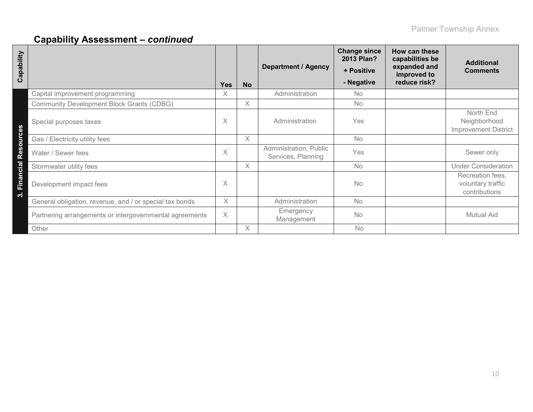| Capability                                              | <b>Yes</b> | <b>No</b> | <b>Department / Agency</b>                   | <b>Change since</b><br>2013 Plan?<br>+ Positive<br>- Negative | How can these<br>capabilities be<br>expanded and<br>improved to<br>reduce risk? | <b>Additional</b><br><b>Comments</b>                     |
|---------------------------------------------------------|------------|-----------|----------------------------------------------|---------------------------------------------------------------|---------------------------------------------------------------------------------|----------------------------------------------------------|
| Capital improvement programming                         | X          |           | Administration                               | <b>No</b>                                                     |                                                                                 |                                                          |
| <b>Community Development Block Grants (CDBG)</b>        |            | $\times$  |                                              | <b>No</b>                                                     |                                                                                 |                                                          |
| Special purposes taxes                                  | $\times$   |           | Administration                               | Yes                                                           |                                                                                 | North End<br>Neighborhood<br><b>Improvement District</b> |
| Gas / Electricity utility fees                          |            | X         |                                              | <b>No</b>                                                     |                                                                                 |                                                          |
| Resources<br>Water / Sewer fees                         | $\times$   |           | Administration, Public<br>Services, Planning | Yes                                                           |                                                                                 | Sewer only                                               |
| Stormwater utility fees                                 |            | $\times$  |                                              | No                                                            |                                                                                 | <b>Under Consideration</b>                               |
| Financial<br>Development impact fees<br>က်              | $\times$   |           |                                              | No                                                            |                                                                                 | Recreation fees,<br>voluntary traffic<br>contributions   |
| General obligation, revenue, and / or special tax bonds | X          |           | Administration                               | No                                                            |                                                                                 |                                                          |
| Partnering arrangements or intergovernmental agreements | $\times$   |           | Emergency<br>Management                      | <b>No</b>                                                     |                                                                                 | <b>Mutual Aid</b>                                        |
| Other                                                   |            | X         |                                              | No                                                            |                                                                                 |                                                          |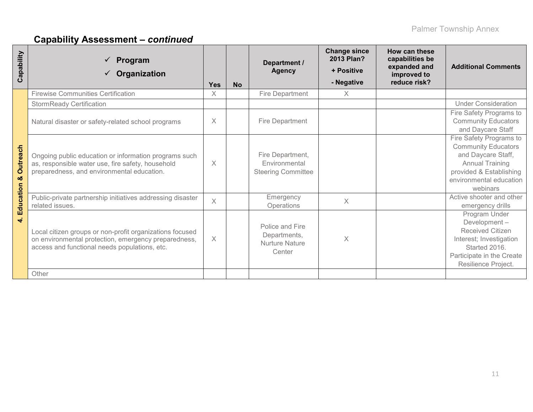| Capability    | Program<br>Organization<br>$\checkmark$                                                                                                                           | Yes      | <b>No</b> | Department /<br><b>Agency</b>                                      | <b>Change since</b><br>2013 Plan?<br>+ Positive<br>- Negative | How can these<br>capabilities be<br>expanded and<br>improved to<br>reduce risk? | <b>Additional Comments</b>                                                                                                                                              |
|---------------|-------------------------------------------------------------------------------------------------------------------------------------------------------------------|----------|-----------|--------------------------------------------------------------------|---------------------------------------------------------------|---------------------------------------------------------------------------------|-------------------------------------------------------------------------------------------------------------------------------------------------------------------------|
|               | <b>Firewise Communities Certification</b>                                                                                                                         | X        |           | Fire Department                                                    | X                                                             |                                                                                 |                                                                                                                                                                         |
|               | <b>StormReady Certification</b>                                                                                                                                   |          |           |                                                                    |                                                               |                                                                                 | <b>Under Consideration</b>                                                                                                                                              |
|               | Natural disaster or safety-related school programs                                                                                                                | X        |           | Fire Department                                                    |                                                               |                                                                                 | Fire Safety Programs to<br><b>Community Educators</b><br>and Daycare Staff                                                                                              |
| Outreach<br>ಯ | Ongoing public education or information programs such<br>as, responsible water use, fire safety, household<br>preparedness, and environmental education.          | X        |           | Fire Department,<br>Environmental<br><b>Steering Committee</b>     |                                                               |                                                                                 | Fire Safety Programs to<br><b>Community Educators</b><br>and Daycare Staff,<br><b>Annual Training</b><br>provided & Establishing<br>environmental education<br>webinars |
| Education     | Public-private partnership initiatives addressing disaster<br>related issues.                                                                                     | $\times$ |           | Emergency<br>Operations                                            | $\times$                                                      |                                                                                 | Active shooter and other<br>emergency drills                                                                                                                            |
| $\vec{r}$     | Local citizen groups or non-profit organizations focused<br>on environmental protection, emergency preparedness,<br>access and functional needs populations, etc. | $\times$ |           | Police and Fire<br>Departments,<br><b>Nurture Nature</b><br>Center | $\times$                                                      |                                                                                 | Program Under<br>Development-<br><b>Received Citizen</b><br>Interest; Investigation<br>Started 2016.<br>Participate in the Create<br>Resilience Project.                |
|               | Other                                                                                                                                                             |          |           |                                                                    |                                                               |                                                                                 |                                                                                                                                                                         |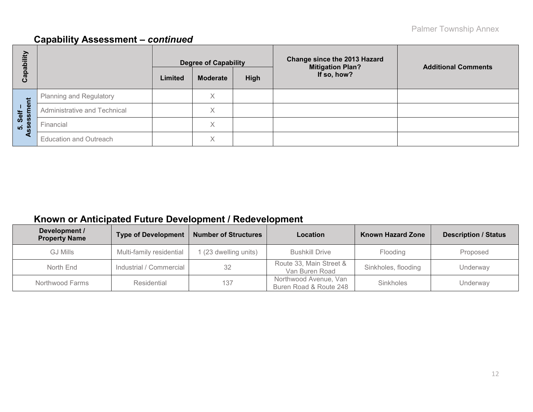| Capability                   |                               |         | <b>Degree of Capability</b> |      | <b>Change since the 2013 Hazard</b><br><b>Mitigation Plan?</b> | <b>Additional Comments</b> |  |
|------------------------------|-------------------------------|---------|-----------------------------|------|----------------------------------------------------------------|----------------------------|--|
|                              |                               | Limited | <b>Moderate</b>             | High | If so, how?                                                    |                            |  |
| ment<br>Self<br>5. Selt<br>m | Planning and Regulatory       |         | Χ                           |      |                                                                |                            |  |
|                              | Administrative and Technical  |         | X                           |      |                                                                |                            |  |
|                              | Financial                     |         | Χ                           |      |                                                                |                            |  |
| ⋖                            | <b>Education and Outreach</b> |         | Χ                           |      |                                                                |                            |  |

### **Known or Anticipated Future Development / Redevelopment**

| Development /<br><b>Property Name</b> | <b>Type of Development</b> | <b>Number of Structures</b> | Location                                        | <b>Known Hazard Zone</b> | <b>Description / Status</b> |
|---------------------------------------|----------------------------|-----------------------------|-------------------------------------------------|--------------------------|-----------------------------|
| <b>GJ Mills</b>                       | Multi-family residential   | 1 (23 dwelling units)       | <b>Bushkill Drive</b>                           | Flooding                 | Proposed                    |
| North End                             | Industrial / Commercial    | 32                          | Route 33, Main Street &<br>Van Buren Road       | Sinkholes, flooding      | Underway                    |
| Northwood Farms                       | Residential                | 137                         | Northwood Avenue, Van<br>Buren Road & Route 248 | Sinkholes                | Underway                    |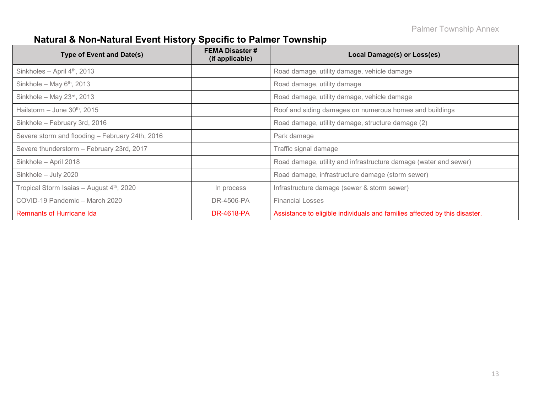# **Natural & Non-Natural Event History Specific to Palmer Township**

| <b>Type of Event and Date(s)</b>                | <b>FEMA Disaster #</b><br>(if applicable) | Local Damage(s) or Loss(es)                                                |
|-------------------------------------------------|-------------------------------------------|----------------------------------------------------------------------------|
| Sinkholes - April $4th$ , 2013                  |                                           | Road damage, utility damage, vehicle damage                                |
| Sinkhole - May $6th$ , 2013                     |                                           | Road damage, utility damage                                                |
| Sinkhole - May $23^{rd}$ , 2013                 |                                           | Road damage, utility damage, vehicle damage                                |
| Hailstorm $-$ June 30 <sup>th</sup> , 2015      |                                           | Roof and siding damages on numerous homes and buildings                    |
| Sinkhole - February 3rd, 2016                   |                                           | Road damage, utility damage, structure damage (2)                          |
| Severe storm and flooding - February 24th, 2016 |                                           | Park damage                                                                |
| Severe thunderstorm - February 23rd, 2017       |                                           | Traffic signal damage                                                      |
| Sinkhole - April 2018                           |                                           | Road damage, utility and infrastructure damage (water and sewer)           |
| Sinkhole - July 2020                            |                                           | Road damage, infrastructure damage (storm sewer)                           |
| Tropical Storm Isaias - August 4th, 2020        | In process                                | Infrastructure damage (sewer & storm sewer)                                |
| COVID-19 Pandemic - March 2020                  | DR-4506-PA                                | <b>Financial Losses</b>                                                    |
| <b>Remnants of Hurricane Ida</b>                | <b>DR-4618-PA</b>                         | Assistance to eligible individuals and families affected by this disaster. |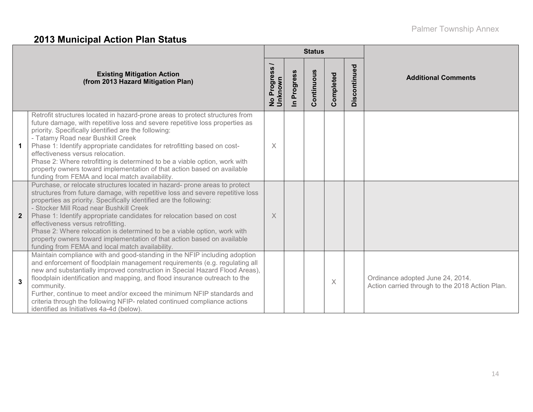# **2013 Municipal Action Plan Status**

|                |                                                                                                                                                                                                                                                                                                                                                                                                                                                                                                                                                                                                        |                                  |                      | <b>Status</b> |           |              |                                                                                     |
|----------------|--------------------------------------------------------------------------------------------------------------------------------------------------------------------------------------------------------------------------------------------------------------------------------------------------------------------------------------------------------------------------------------------------------------------------------------------------------------------------------------------------------------------------------------------------------------------------------------------------------|----------------------------------|----------------------|---------------|-----------|--------------|-------------------------------------------------------------------------------------|
|                | <b>Existing Mitigation Action</b><br>(from 2013 Hazard Mitigation Plan)                                                                                                                                                                                                                                                                                                                                                                                                                                                                                                                                | Progress<br>No Progre<br>Unknown | Progress<br>$\equiv$ | Continuous    | Completed | Discontinued | <b>Additional Comments</b>                                                          |
| $\mathbf 1$    | Retrofit structures located in hazard-prone areas to protect structures from<br>future damage, with repetitive loss and severe repetitive loss properties as<br>priority. Specifically identified are the following:<br>- Tatamy Road near Bushkill Creek<br>Phase 1: Identify appropriate candidates for retrofitting based on cost-<br>effectiveness versus relocation.<br>Phase 2: Where retrofitting is determined to be a viable option, work with<br>property owners toward implementation of that action based on available<br>funding from FEMA and local match availability.                  | $\times$                         |                      |               |           |              |                                                                                     |
| $\overline{2}$ | Purchase, or relocate structures located in hazard- prone areas to protect<br>structures from future damage, with repetitive loss and severe repetitive loss<br>properties as priority. Specifically identified are the following:<br>- Stocker Mill Road near Bushkill Creek<br>Phase 1: Identify appropriate candidates for relocation based on cost<br>effectiveness versus retrofitting.<br>Phase 2: Where relocation is determined to be a viable option, work with<br>property owners toward implementation of that action based on available<br>funding from FEMA and local match availability. | X                                |                      |               |           |              |                                                                                     |
| $\mathbf{3}$   | Maintain compliance with and good-standing in the NFIP including adoption<br>and enforcement of floodplain management requirements (e.g. regulating all<br>new and substantially improved construction in Special Hazard Flood Areas),<br>floodplain identification and mapping, and flood insurance outreach to the<br>community.<br>Further, continue to meet and/or exceed the minimum NFIP standards and<br>criteria through the following NFIP- related continued compliance actions<br>identified as Initiatives 4a-4d (below).                                                                  |                                  |                      |               | X         |              | Ordinance adopted June 24, 2014.<br>Action carried through to the 2018 Action Plan. |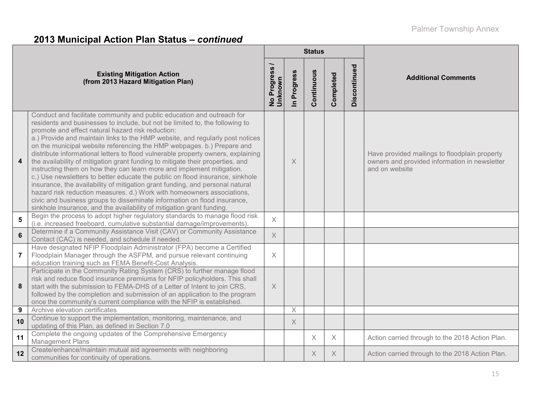# **2013 Municipal Action Plan Status –** *continued*

|                         |                                                                                                                                                                                                                                                                                                                                                                                                                                                                                                                                                                                                                                                                                                                                                                                                                                                                                                                                                                                                                        |                                   |                          | <b>Status</b> |           |              |                                                                                                                  |  |  |
|-------------------------|------------------------------------------------------------------------------------------------------------------------------------------------------------------------------------------------------------------------------------------------------------------------------------------------------------------------------------------------------------------------------------------------------------------------------------------------------------------------------------------------------------------------------------------------------------------------------------------------------------------------------------------------------------------------------------------------------------------------------------------------------------------------------------------------------------------------------------------------------------------------------------------------------------------------------------------------------------------------------------------------------------------------|-----------------------------------|--------------------------|---------------|-----------|--------------|------------------------------------------------------------------------------------------------------------------|--|--|
|                         | <b>Existing Mitigation Action</b><br>(from 2013 Hazard Mitigation Plan)                                                                                                                                                                                                                                                                                                                                                                                                                                                                                                                                                                                                                                                                                                                                                                                                                                                                                                                                                | Progress<br>No Progre:<br>Unknown | Progress<br>$\mathbf{a}$ | Continuous    | Completed | Discontinued | <b>Additional Comments</b>                                                                                       |  |  |
| $\overline{\mathbf{4}}$ | Conduct and facilitate community and public education and outreach for<br>residents and businesses to include, but not be limited to, the following to<br>promote and effect natural hazard risk reduction:<br>a.) Provide and maintain links to the HMP website, and regularly post notices<br>on the municipal website referencing the HMP webpages. b.) Prepare and<br>distribute informational letters to flood vulnerable property owners, explaining<br>the availability of mitigation grant funding to mitigate their properties, and<br>instructing them on how they can learn more and implement mitigation.<br>c.) Use newsletters to better educate the public on flood insurance, sinkhole<br>insurance, the availability of mitigation grant funding, and personal natural<br>hazard risk reduction measures. d.) Work with homeowners associations,<br>civic and business groups to disseminate information on flood insurance,<br>sinkhole insurance, and the availability of mitigation grant funding. |                                   | $\times$                 |               |           |              | Have provided mailings to floodplain property<br>owners and provided information in newsletter<br>and on website |  |  |
| 5                       | Begin the process to adopt higher regulatory standards to manage flood risk<br>(i.e. increased freeboard, cumulative substantial damage/improvements).                                                                                                                                                                                                                                                                                                                                                                                                                                                                                                                                                                                                                                                                                                                                                                                                                                                                 | $\times$                          |                          |               |           |              |                                                                                                                  |  |  |
| $6\phantom{a}$          | Determine if a Community Assistance Visit (CAV) or Community Assistance<br>Contact (CAC) is needed, and schedule if needed.                                                                                                                                                                                                                                                                                                                                                                                                                                                                                                                                                                                                                                                                                                                                                                                                                                                                                            | $\times$                          |                          |               |           |              |                                                                                                                  |  |  |
| $\overline{7}$          | Have designated NFIP Floodplain Administrator (FPA) become a Certified<br>Floodplain Manager through the ASFPM, and pursue relevant continuing<br>education training such as FEMA Benefit-Cost Analysis.                                                                                                                                                                                                                                                                                                                                                                                                                                                                                                                                                                                                                                                                                                                                                                                                               | $\times$                          |                          |               |           |              |                                                                                                                  |  |  |
| 8                       | Participate in the Community Rating System (CRS) to further manage flood<br>risk and reduce flood insurance premiums for NFIP policyholders. This shall<br>start with the submission to FEMA-DHS of a Letter of Intent to join CRS,<br>followed by the completion and submission of an application to the program<br>once the community's current compliance with the NFIP is established.                                                                                                                                                                                                                                                                                                                                                                                                                                                                                                                                                                                                                             | $\times$                          |                          |               |           |              |                                                                                                                  |  |  |
| 9                       | Archive elevation certificates                                                                                                                                                                                                                                                                                                                                                                                                                                                                                                                                                                                                                                                                                                                                                                                                                                                                                                                                                                                         |                                   | $\times$                 |               |           |              |                                                                                                                  |  |  |
| 10                      | Continue to support the implementation, monitoring, maintenance, and<br>updating of this Plan, as defined in Section 7.0                                                                                                                                                                                                                                                                                                                                                                                                                                                                                                                                                                                                                                                                                                                                                                                                                                                                                               |                                   | $\times$                 |               |           |              |                                                                                                                  |  |  |
| 11                      | Complete the ongoing updates of the Comprehensive Emergency<br><b>Management Plans</b>                                                                                                                                                                                                                                                                                                                                                                                                                                                                                                                                                                                                                                                                                                                                                                                                                                                                                                                                 |                                   |                          | $\times$      | X         |              | Action carried through to the 2018 Action Plan.                                                                  |  |  |
| 12                      | Create/enhance/maintain mutual aid agreements with neighboring<br>communities for continuity of operations.                                                                                                                                                                                                                                                                                                                                                                                                                                                                                                                                                                                                                                                                                                                                                                                                                                                                                                            |                                   |                          | $\times$      | $\times$  |              | Action carried through to the 2018 Action Plan.                                                                  |  |  |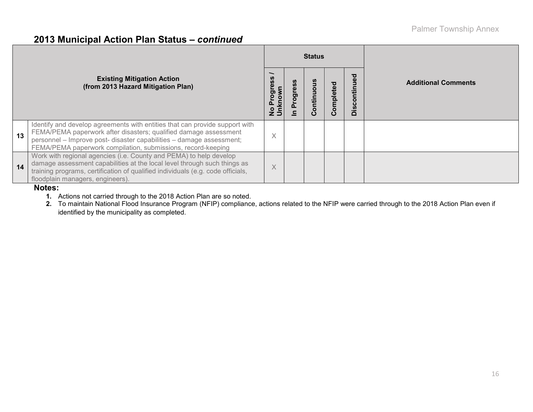#### **2013 Municipal Action Plan Status –** *continued*

|    |                                                                                                                                                                                                                                                                                         |                       |   | <b>Status</b> |           |                  |                            |
|----|-----------------------------------------------------------------------------------------------------------------------------------------------------------------------------------------------------------------------------------------------------------------------------------------|-----------------------|---|---------------|-----------|------------------|----------------------------|
|    | <b>Existing Mitigation Action</b><br>(from 2013 Hazard Mitigation Plan)                                                                                                                                                                                                                 | Progres<br><u>cuy</u> | ත | Continuo      | Completed | ontinued<br>Disc | <b>Additional Comments</b> |
| 13 | Identify and develop agreements with entities that can provide support with<br>FEMA/PEMA paperwork after disasters; qualified damage assessment<br>personnel - Improve post- disaster capabilities - damage assessment;<br>FEMA/PEMA paperwork compilation, submissions, record-keeping | $\times$              |   |               |           |                  |                            |
| 14 | Work with regional agencies (i.e. County and PEMA) to help develop<br>damage assessment capabilities at the local level through such things as<br>training programs, certification of qualified individuals (e.g. code officials,<br>floodplain managers, engineers).                   | $\times$              |   |               |           |                  |                            |

#### **Notes:**

**1.** Actions not carried through to the 2018 Action Plan are so noted.

**2.** To maintain National Flood Insurance Program (NFIP) compliance, actions related to the NFIP were carried through to the 2018 Action Plan even if identified by the municipality as completed.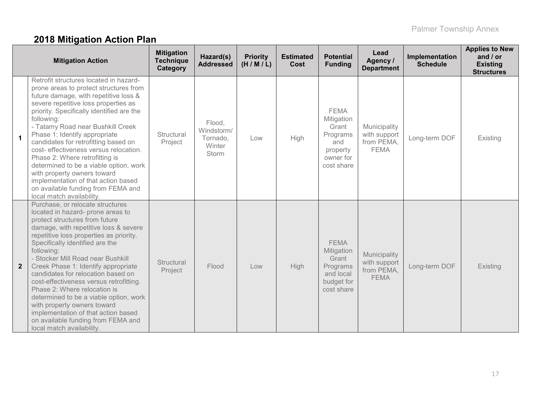# **2018 Mitigation Action Plan**

|              | <b>Mitigation Action</b>                                                                                                                                                                                                                                                                                                                                                                                                                                                                                                                                                                                                     | <b>Mitigation</b><br><b>Technique</b><br>Category | Hazard(s)<br><b>Addressed</b>                              | <b>Priority</b><br>(H/M/L) | <b>Estimated</b><br>Cost | <b>Potential</b><br><b>Funding</b>                                                           | Lead<br>Agency /<br><b>Department</b>                     | Implementation<br><b>Schedule</b> | <b>Applies to New</b><br>and $/$ or<br><b>Existing</b><br><b>Structures</b> |
|--------------|------------------------------------------------------------------------------------------------------------------------------------------------------------------------------------------------------------------------------------------------------------------------------------------------------------------------------------------------------------------------------------------------------------------------------------------------------------------------------------------------------------------------------------------------------------------------------------------------------------------------------|---------------------------------------------------|------------------------------------------------------------|----------------------------|--------------------------|----------------------------------------------------------------------------------------------|-----------------------------------------------------------|-----------------------------------|-----------------------------------------------------------------------------|
| $\mathbf{1}$ | Retrofit structures located in hazard-<br>prone areas to protect structures from<br>future damage, with repetitive loss &<br>severe repetitive loss properties as<br>priority. Specifically identified are the<br>following:<br>- Tatamy Road near Bushkill Creek<br>Phase 1: Identify appropriate<br>candidates for retrofitting based on<br>cost- effectiveness versus relocation.<br>Phase 2: Where retrofitting is<br>determined to be a viable option, work<br>with property owners toward<br>implementation of that action based<br>on available funding from FEMA and<br>local match availability.                    | Structural<br>Project                             | Flood,<br>Windstorm/<br>Tornado,<br>Winter<br><b>Storm</b> | Low                        | High                     | <b>FEMA</b><br>Mitigation<br>Grant<br>Programs<br>and<br>property<br>owner for<br>cost share | Municipality<br>with support<br>from PEMA,<br><b>FEMA</b> | Long-term DOF                     | Existing                                                                    |
| $\mathbf{2}$ | Purchase, or relocate structures<br>located in hazard- prone areas to<br>protect structures from future<br>damage, with repetitive loss & severe<br>repetitive loss properties as priority.<br>Specifically identified are the<br>following:<br>- Stocker Mill Road near Bushkill<br>Creek Phase 1: Identify appropriate<br>candidates for relocation based on<br>cost-effectiveness versus retrofitting.<br>Phase 2: Where relocation is<br>determined to be a viable option, work<br>with property owners toward<br>implementation of that action based<br>on available funding from FEMA and<br>local match availability. | Structural<br>Project                             | Flood                                                      | Low                        | High                     | <b>FEMA</b><br>Mitigation<br>Grant<br>Programs<br>and local<br>budget for<br>cost share      | Municipality<br>with support<br>from PEMA,<br><b>FEMA</b> | Long-term DOF                     | Existing                                                                    |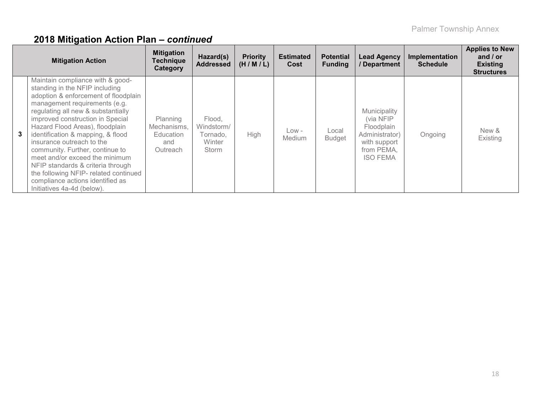|   | <b>Mitigation Action</b>                                                                                                                                                                                                                                                                                                                                                                                                                                                                                                                        | <b>Mitigation</b><br><b>Technique</b><br>Category       | Hazard(s)<br><b>Addressed</b>                       | <b>Priority</b><br>(H/M/L) | <b>Estimated</b><br>Cost | <b>Potential</b><br><b>Funding</b> | <b>Lead Agency</b><br>/ Department                                                                         | Implementation<br><b>Schedule</b> | <b>Applies to New</b><br>and $/$ or<br><b>Existing</b><br><b>Structures</b> |
|---|-------------------------------------------------------------------------------------------------------------------------------------------------------------------------------------------------------------------------------------------------------------------------------------------------------------------------------------------------------------------------------------------------------------------------------------------------------------------------------------------------------------------------------------------------|---------------------------------------------------------|-----------------------------------------------------|----------------------------|--------------------------|------------------------------------|------------------------------------------------------------------------------------------------------------|-----------------------------------|-----------------------------------------------------------------------------|
| 3 | Maintain compliance with & good-<br>standing in the NFIP including<br>adoption & enforcement of floodplain<br>management requirements (e.g.<br>regulating all new & substantially<br>improved construction in Special<br>Hazard Flood Areas), floodplain<br>identification & mapping, & flood<br>insurance outreach to the<br>community. Further, continue to<br>meet and/or exceed the minimum<br>NFIP standards & criteria through<br>the following NFIP- related continued<br>compliance actions identified as<br>Initiatives 4a-4d (below). | Planning<br>Mechanisms,<br>Education<br>and<br>Outreach | Flood.<br>Windstorm/<br>Tornado,<br>Winter<br>Storm | <b>High</b>                | Low -<br><b>Medium</b>   | Local<br><b>Budget</b>             | Municipality<br>(via NFIP<br>Floodplain<br>Administrator)<br>with support<br>from PEMA,<br><b>ISO FEMA</b> | Ongoing                           | New &<br>Existing                                                           |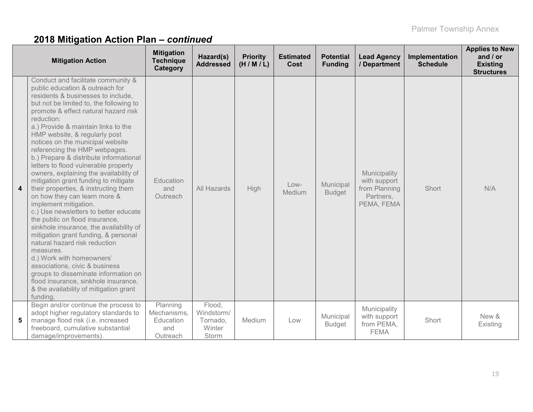|                         | <b>Mitigation Action</b>                                                                                                                                                                                                                                                                                                                                                                                                                                                                                                                                                                                                                                                                                                                                                                                                                                                                                                                                                                                                                        | <b>Mitigation</b><br><b>Technique</b><br>Category       | Hazard(s)<br><b>Addressed</b>                       | <b>Priority</b><br>(H/M/L) | <b>Estimated</b><br>Cost | <b>Potential</b><br><b>Funding</b> | <b>Lead Agency</b><br>/ Department                                       | Implementation<br><b>Schedule</b> | <b>Applies to New</b><br>and $/$ or<br><b>Existing</b><br><b>Structures</b> |
|-------------------------|-------------------------------------------------------------------------------------------------------------------------------------------------------------------------------------------------------------------------------------------------------------------------------------------------------------------------------------------------------------------------------------------------------------------------------------------------------------------------------------------------------------------------------------------------------------------------------------------------------------------------------------------------------------------------------------------------------------------------------------------------------------------------------------------------------------------------------------------------------------------------------------------------------------------------------------------------------------------------------------------------------------------------------------------------|---------------------------------------------------------|-----------------------------------------------------|----------------------------|--------------------------|------------------------------------|--------------------------------------------------------------------------|-----------------------------------|-----------------------------------------------------------------------------|
| $\overline{\mathbf{4}}$ | Conduct and facilitate community &<br>public education & outreach for<br>residents & businesses to include,<br>but not be limited to, the following to<br>promote & effect natural hazard risk<br>reduction:<br>a.) Provide & maintain links to the<br>HMP website, & regularly post<br>notices on the municipal website<br>referencing the HMP webpages.<br>b.) Prepare & distribute informational<br>letters to flood vulnerable property<br>owners, explaining the availability of<br>mitigation grant funding to mitigate<br>their properties, & instructing them<br>on how they can learn more &<br>implement mitigation.<br>c.) Use newsletters to better educate<br>the public on flood insurance,<br>sinkhole insurance, the availability of<br>mitigation grant funding, & personal<br>natural hazard risk reduction<br>measures.<br>d.) Work with homeowners'<br>associations, civic & business<br>groups to disseminate information on<br>flood insurance, sinkhole insurance,<br>& the availability of mitigation grant<br>funding. | Education<br>and<br><b>Outreach</b>                     | All Hazards                                         | <b>High</b>                | Low-<br>Medium           | Municipal<br><b>Budget</b>         | Municipality<br>with support<br>from Planning<br>Partners,<br>PEMA, FEMA | Short                             | N/A                                                                         |
| 5                       | Begin and/or continue the process to<br>adopt higher regulatory standards to<br>manage flood risk (i.e. increased<br>freeboard, cumulative substantial<br>damage/improvements).                                                                                                                                                                                                                                                                                                                                                                                                                                                                                                                                                                                                                                                                                                                                                                                                                                                                 | Planning<br>Mechanisms,<br>Education<br>and<br>Outreach | Flood,<br>Windstorm/<br>Tornado,<br>Winter<br>Storm | Medium                     | Low                      | Municipal<br><b>Budget</b>         | Municipality<br>with support<br>from PEMA,<br><b>FEMA</b>                | Short                             | New &<br>Existing                                                           |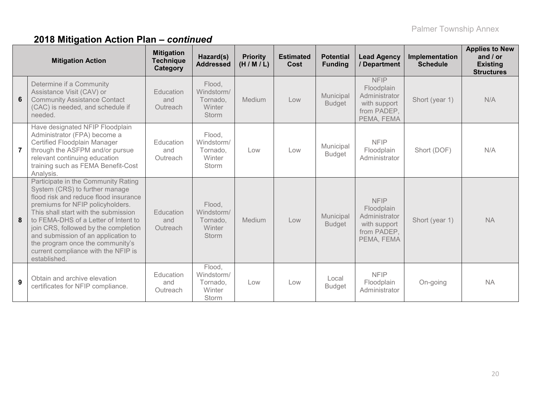|                | <b>Mitigation Action</b>                                                                                                                                                                                                                                                                                                                                                                                     | <b>Mitigation</b><br><b>Technique</b><br>Category | Hazard(s)<br><b>Addressed</b>                              | <b>Priority</b><br>(H/M/L) | <b>Estimated</b><br>Cost | <b>Potential</b><br><b>Funding</b> | <b>Lead Agency</b><br>/ Department                                                      | Implementation<br><b>Schedule</b> | <b>Applies to New</b><br>and $/$ or<br><b>Existing</b><br><b>Structures</b> |
|----------------|--------------------------------------------------------------------------------------------------------------------------------------------------------------------------------------------------------------------------------------------------------------------------------------------------------------------------------------------------------------------------------------------------------------|---------------------------------------------------|------------------------------------------------------------|----------------------------|--------------------------|------------------------------------|-----------------------------------------------------------------------------------------|-----------------------------------|-----------------------------------------------------------------------------|
| 6              | Determine if a Community<br>Assistance Visit (CAV) or<br><b>Community Assistance Contact</b><br>(CAC) is needed, and schedule if<br>needed.                                                                                                                                                                                                                                                                  | Education<br>and<br>Outreach                      | Flood,<br>Windstorm/<br>Tornado,<br>Winter<br>Storm        | Medium                     | Low                      | Municipal<br><b>Budget</b>         | <b>NFIP</b><br>Floodplain<br>Administrator<br>with support<br>from PADEP,<br>PEMA, FEMA | Short (year 1)                    | N/A                                                                         |
| $\overline{7}$ | Have designated NFIP Floodplain<br>Administrator (FPA) become a<br>Certified Floodplain Manager<br>through the ASFPM and/or pursue<br>relevant continuing education<br>training such as FEMA Benefit-Cost<br>Analysis.                                                                                                                                                                                       | Education<br>and<br>Outreach                      | Flood,<br>Windstorm/<br>Tornado.<br>Winter<br>Storm        | Low                        | Low                      | Municipal<br><b>Budget</b>         | <b>NFIP</b><br>Floodplain<br>Administrator                                              | Short (DOF)                       | N/A                                                                         |
| 8              | Participate in the Community Rating<br>System (CRS) to further manage<br>flood risk and reduce flood insurance<br>premiums for NFIP policyholders.<br>This shall start with the submission<br>to FEMA-DHS of a Letter of Intent to<br>join CRS, followed by the completion<br>and submission of an application to<br>the program once the community's<br>current compliance with the NFIP is<br>established. | Education<br>and<br>Outreach                      | Flood,<br>Windstorm/<br>Tornado.<br>Winter<br><b>Storm</b> | <b>Medium</b>              | Low                      | Municipal<br><b>Budget</b>         | <b>NFIP</b><br>Floodplain<br>Administrator<br>with support<br>from PADEP,<br>PEMA, FEMA | Short (year 1)                    | <b>NA</b>                                                                   |
| 9              | Obtain and archive elevation<br>certificates for NFIP compliance.                                                                                                                                                                                                                                                                                                                                            | Education<br>and<br>Outreach                      | Flood,<br>Windstorm/<br>Tornado.<br>Winter<br>Storm        | Low                        | Low                      | Local<br><b>Budget</b>             | <b>NFIP</b><br>Floodplain<br>Administrator                                              | On-going                          | <b>NA</b>                                                                   |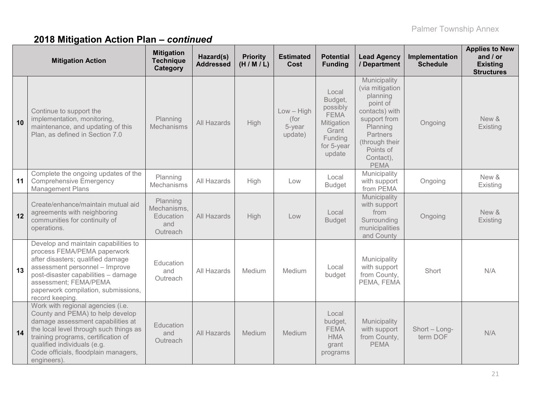|    | <b>Mitigation Action</b>                                                                                                                                                                                                                                                          | <b>Mitigation</b><br><b>Technique</b><br>Category       | Hazard(s)<br><b>Addressed</b> | <b>Priority</b><br>(H/M/L) | <b>Estimated</b><br>Cost                  | <b>Potential</b><br><b>Funding</b>                                                                    | <b>Lead Agency</b><br>/ Department                                                                                                                                           | Implementation<br><b>Schedule</b> | <b>Applies to New</b><br>and $/$ or<br><b>Existing</b><br><b>Structures</b> |
|----|-----------------------------------------------------------------------------------------------------------------------------------------------------------------------------------------------------------------------------------------------------------------------------------|---------------------------------------------------------|-------------------------------|----------------------------|-------------------------------------------|-------------------------------------------------------------------------------------------------------|------------------------------------------------------------------------------------------------------------------------------------------------------------------------------|-----------------------------------|-----------------------------------------------------------------------------|
| 10 | Continue to support the<br>implementation, monitoring,<br>maintenance, and updating of this<br>Plan, as defined in Section 7.0                                                                                                                                                    | Planning<br>Mechanisms                                  | All Hazards                   | <b>High</b>                | $Low - High$<br>(for<br>5-year<br>update) | Local<br>Budget,<br>possibly<br><b>FEMA</b><br>Mitigation<br>Grant<br>Funding<br>for 5-year<br>update | Municipality<br>(via mitigation<br>planning<br>point of<br>contacts) with<br>support from<br>Planning<br>Partners<br>(through their<br>Points of<br>Contact),<br><b>PEMA</b> | Ongoing                           | New &<br>Existing                                                           |
| 11 | Complete the ongoing updates of the<br><b>Comprehensive Emergency</b><br><b>Management Plans</b>                                                                                                                                                                                  | Planning<br>Mechanisms                                  | All Hazards                   | High                       | Low                                       | Local<br><b>Budget</b>                                                                                | Municipality<br>with support<br>from PEMA                                                                                                                                    | Ongoing                           | New &<br>Existing                                                           |
| 12 | Create/enhance/maintain mutual aid<br>agreements with neighboring<br>communities for continuity of<br>operations.                                                                                                                                                                 | Planning<br>Mechanisms,<br>Education<br>and<br>Outreach | All Hazards                   | High                       | Low                                       | Local<br><b>Budget</b>                                                                                | Municipality<br>with support<br>from<br>Surrounding<br>municipalities<br>and County                                                                                          | Ongoing                           | New &<br>Existing                                                           |
| 13 | Develop and maintain capabilities to<br>process FEMA/PEMA paperwork<br>after disasters; qualified damage<br>assessment personnel - Improve<br>post-disaster capabilities - damage<br>assessment; FEMA/PEMA<br>paperwork compilation, submissions,<br>record keeping.              | Education<br>and<br>Outreach                            | All Hazards                   | Medium                     | Medium                                    | Local<br>budget                                                                                       | Municipality<br>with support<br>from County,<br>PEMA, FEMA                                                                                                                   | Short                             | N/A                                                                         |
| 14 | Work with regional agencies (i.e.<br>County and PEMA) to help develop<br>damage assessment capabilities at<br>the local level through such things as<br>training programs, certification of<br>qualified individuals (e.g.<br>Code officials, floodplain managers,<br>engineers). | Education<br>and<br>Outreach                            | All Hazards                   | Medium                     | Medium                                    | Local<br>budget,<br><b>FEMA</b><br><b>HMA</b><br>grant<br>programs                                    | Municipality<br>with support<br>from County,<br><b>PEMA</b>                                                                                                                  | Short - Long-<br>term DOF         | N/A                                                                         |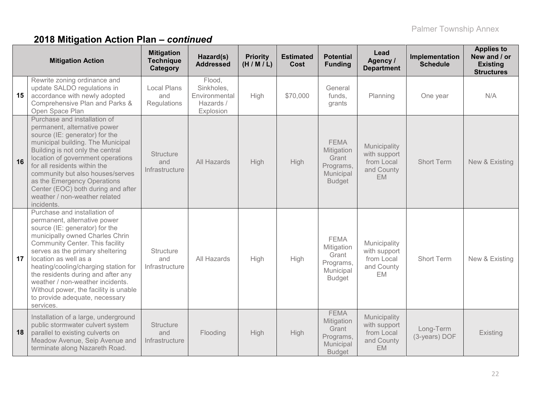| <b>Mitigation Action</b>                                                                                                                                                                                                                                                                                                                                                                                                                          | <b>Mitigation</b><br><b>Technique</b><br>Category | Hazard(s)<br><b>Addressed</b>                                   | <b>Priority</b><br>(H/M/L) | <b>Estimated</b><br>Cost | <b>Potential</b><br><b>Funding</b>                                            | Lead<br>Agency /<br><b>Department</b>                                 | Implementation<br><b>Schedule</b> | <b>Applies to</b><br>New and / or<br><b>Existing</b><br><b>Structures</b> |
|---------------------------------------------------------------------------------------------------------------------------------------------------------------------------------------------------------------------------------------------------------------------------------------------------------------------------------------------------------------------------------------------------------------------------------------------------|---------------------------------------------------|-----------------------------------------------------------------|----------------------------|--------------------------|-------------------------------------------------------------------------------|-----------------------------------------------------------------------|-----------------------------------|---------------------------------------------------------------------------|
| Rewrite zoning ordinance and<br>update SALDO regulations in<br>15<br>accordance with newly adopted<br>Comprehensive Plan and Parks &<br>Open Space Plan                                                                                                                                                                                                                                                                                           | <b>Local Plans</b><br>and<br>Regulations          | Flood,<br>Sinkholes,<br>Environmental<br>Hazards /<br>Explosion | High                       | \$70,000                 | General<br>funds,<br>grants                                                   | Planning                                                              | One year                          | N/A                                                                       |
| Purchase and installation of<br>permanent, alternative power<br>source (IE: generator) for the<br>municipal building. The Municipal<br>Building is not only the central<br>location of government operations<br>16<br>for all residents within the<br>community but also houses/serves<br>as the Emergency Operations<br>Center (EOC) both during and after<br>weather / non-weather related<br>incidents.                                        | <b>Structure</b><br>and<br>Infrastructure         | <b>All Hazards</b>                                              | High                       | High                     | <b>FEMA</b><br>Mitigation<br>Grant<br>Programs,<br>Municipal<br><b>Budget</b> | Municipality<br>with support<br>from Local<br>and County<br><b>EM</b> | <b>Short Term</b>                 | New & Existing                                                            |
| Purchase and installation of<br>permanent, alternative power<br>source (IE: generator) for the<br>municipally owned Charles Chrin<br>Community Center. This facility<br>serves as the primary sheltering<br>17<br>location as well as a<br>heating/cooling/charging station for<br>the residents during and after any<br>weather / non-weather incidents.<br>Without power, the facility is unable<br>to provide adequate, necessary<br>services. | Structure<br>and<br>Infrastructure                | All Hazards                                                     | High                       | High                     | <b>FEMA</b><br>Mitigation<br>Grant<br>Programs,<br>Municipal<br><b>Budget</b> | Municipality<br>with support<br>from Local<br>and County<br>EM        | <b>Short Term</b>                 | New & Existing                                                            |
| Installation of a large, underground<br>public stormwater culvert system<br>parallel to existing culverts on<br>18<br>Meadow Avenue, Seip Avenue and<br>terminate along Nazareth Road.                                                                                                                                                                                                                                                            | <b>Structure</b><br>and<br>Infrastructure         | Flooding                                                        | High                       | <b>High</b>              | <b>FEMA</b><br>Mitigation<br>Grant<br>Programs,<br>Municipal<br><b>Budget</b> | Municipality<br>with support<br>from Local<br>and County<br><b>EM</b> | Long-Term<br>(3-years) DOF        | Existing                                                                  |